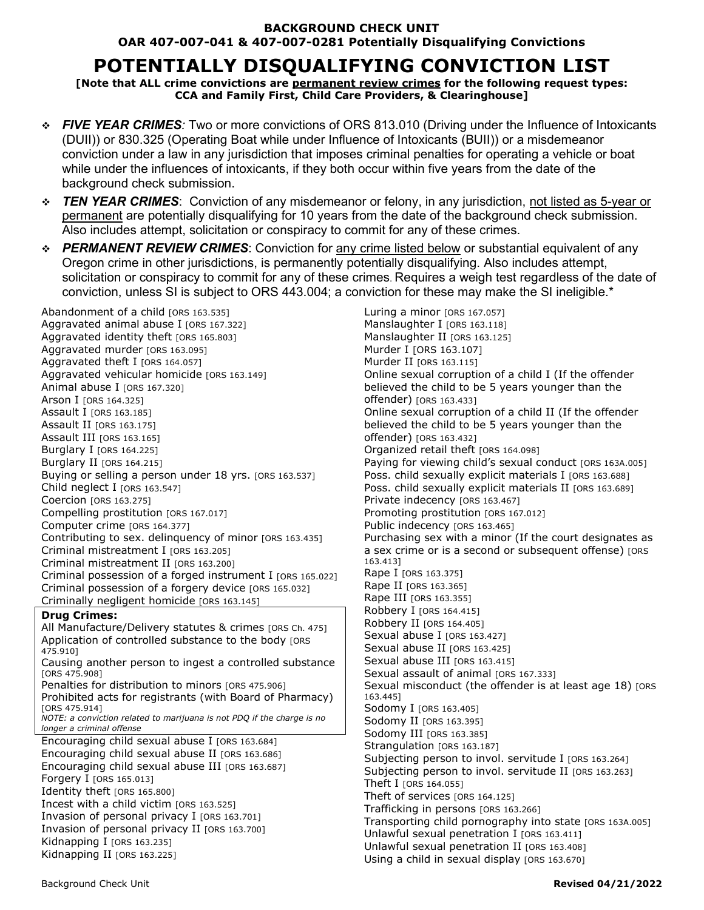#### **BACKGROUND CHECK UNIT OAR 407-007-041 & 407-007-0281 Potentially Disqualifying Convictions**

# **POTENTIALLY DISQUALIFYING CONVICTION LIST**

**[Note that ALL crime convictions are permanent review crimes for the following request types: CCA and Family First, Child Care Providers, & Clearinghouse]**

- *FIVE YEAR CRIMES:* Two or more convictions of ORS 813.010 (Driving under the Influence of Intoxicants (DUII)) or 830.325 (Operating Boat while under Influence of Intoxicants (BUII)) or a misdemeanor conviction under a law in any jurisdiction that imposes criminal penalties for operating a vehicle or boat while under the influences of intoxicants, if they both occur within five years from the date of the background check submission.
- *TEN YEAR CRIMES*: Conviction of any misdemeanor or felony, in any jurisdiction, not listed as 5-year or permanent are potentially disqualifying for 10 years from the date of the background check submission. Also includes attempt, solicitation or conspiracy to commit for any of these crimes.
- *PERMANENT REVIEW CRIMES*: Conviction for any crime listed below or substantial equivalent of any Oregon crime in other jurisdictions, is permanently potentially disqualifying. Also includes attempt, solicitation or conspiracy to commit for any of these crimes. Requires a weigh test regardless of the date of conviction, unless SI is subject to ORS 443.004; a conviction for these may make the SI ineligible.\*

Abandonment of a child rors 163.5351 Aggravated animal abuse I [ORS 167.322] Aggravated identity theft [ORS 165.803] Aggravated murder [ORS 163.095] Aggravated theft I [ORS 164.057] Aggravated vehicular homicide [ORS 163.149] Animal abuse I [ORS 167.320] Arson I [ORS 164.325] Assault I [ORS 163.185] Assault II [ORS 163.175] Assault III [ORS 163.165] Burglary I [ORS 164.225] Burglary II [ORS 164.215] Buying or selling a person under 18 yrs. [ORS 163.537] Child neglect I  $[ORS 163.547]$ Coercion [ORS 163.275] Compelling prostitution [ORS 167.017] Computer crime [ORS 164.377] Contributing to sex. delinquency of minor [ORS 163.435] Criminal mistreatment I [ORS 163.205] Criminal mistreatment II [ORS 163.200] Criminal possession of a forged instrument I [ORS 165.022] Criminal possession of a forgery device [ORS 165.032] Criminally negligent homicide [ORS 163.145] **Drug Crimes:** All Manufacture/Delivery statutes & crimes [ORS Ch. 475] Application of controlled substance to the body [ORS 475.910] Causing another person to ingest a controlled substance

[ORS 475.908] Penalties for distribution to minors [ORS 475.906] Prohibited acts for registrants (with Board of Pharmacy) [ORS 475.914] *NOTE: a conviction related to marijuana is not PDQ if the charge is no* 

*longer a criminal offense*

Encouraging child sexual abuse I [ORS 163.684] Encouraging child sexual abuse II [ORS 163.686] Encouraging child sexual abuse III [ORS 163.687] **Forgery I [ORS 165.013]** Identity theft [ORS 165.800] Incest with a child victim [ORS 163.525] Invasion of personal privacy I [ORS 163.701] Invasion of personal privacy II [ORS 163.700] Kidnapping I [ORS 163.235] Kidnapping II [ORS 163.225]

Luring a minor [ORS 167.057] Manslaughter I [ORS 163.118] Manslaughter II [ORS 163.125] Murder I [ORS 163.107] Murder II [ORS 163.115] Online sexual corruption of a child I (If the offender believed the child to be 5 years younger than the offender) [ORS 163.433] Online sexual corruption of a child II (If the offender believed the child to be 5 years younger than the offender) [ORS 163.432] Organized retail theft [ORS 164.098] Paying for viewing child's sexual conduct [ORS 163A.005] Poss. child sexually explicit materials I [ORS 163.688] Poss. child sexually explicit materials II [ORS 163.689] Private indecency [ORS 163.467] Promoting prostitution [ORS 167.012] Public indecency [ORS 163.465] Purchasing sex with a minor (If the court designates as a sex crime or is a second or subsequent offense) [ORS 163.413] Rape I [ORS 163.375] Rape II [ORS 163.365] Rape III [ORS 163.355] Robbery I [ORS 164.415] Robbery II [ORS 164.405] Sexual abuse I [ORS 163.427] Sexual abuse II [ORS 163.425] Sexual abuse III [ORS 163.415] Sexual assault of animal rors 167,3331 Sexual misconduct (the offender is at least age 18) [ORS 163.445] Sodomy I [ORS 163.405] Sodomy II [ORS 163.395] Sodomy III [ORS 163.385] Strangulation [ORS 163.187] Subjecting person to invol. servitude I [ORS 163.264] Subjecting person to invol. servitude II [ORS 163.263] Theft I [ORS 164.055] Theft of services [ORS 164.125] Trafficking in persons [ORS 163.266] Transporting child pornography into state [ORS 163A.005] Unlawful sexual penetration I [ORS 163.411] Unlawful sexual penetration II [ORS 163.408] Using a child in sexual display [ORS 163.670]